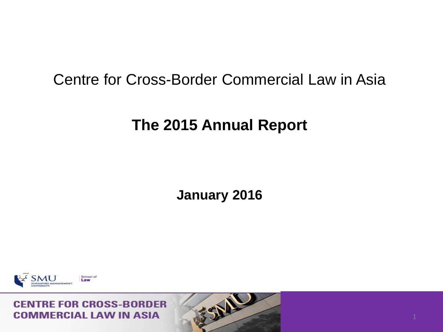## Centre for Cross-Border Commercial Law in Asia

## **The 2015 Annual Report**

**January 2016**



#### **CENTRE FOR CROSS-BORDER COMMERCIAL LAW IN ASIA**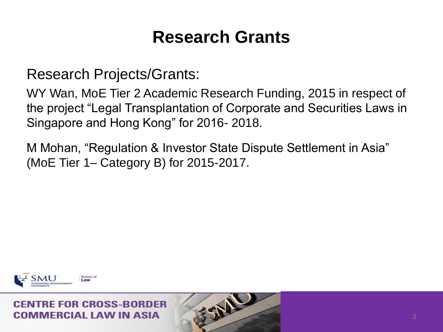## **Research Grants**

Research Projects/Grants:

WY Wan, MoE Tier 2 Academic Research Funding, 2015 in respect of the project "Legal Transplantation of Corporate and Securities Laws in Singapore and Hong Kong" for 2016- 2018.

M Mohan, "Regulation & Investor State Dispute Settlement in Asia" (MoE Tier 1– Category B) for 2015-2017.

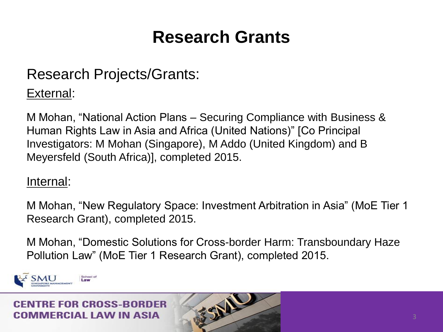## **Research Grants**

## Research Projects/Grants:

### External:

M Mohan, "National Action Plans – Securing Compliance with Business & Human Rights Law in Asia and Africa (United Nations)" [Co Principal Investigators: M Mohan (Singapore), M Addo (United Kingdom) and B Meyersfeld (South Africa)], completed 2015.

#### Internal:

M Mohan, "New Regulatory Space: Investment Arbitration in Asia" (MoE Tier 1 Research Grant), completed 2015.

M Mohan, "Domestic Solutions for Cross-border Harm: Transboundary Haze Pollution Law" (MoE Tier 1 Research Grant), completed 2015.

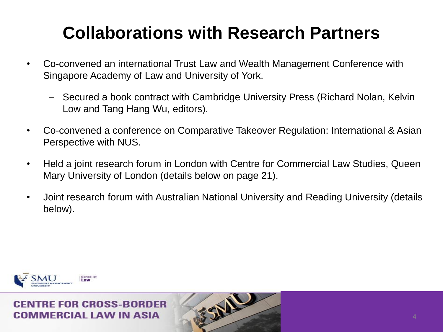# **Collaborations with Research Partners**

- Co-convened an international Trust Law and Wealth Management Conference with Singapore Academy of Law and University of York.
	- Secured a book contract with Cambridge University Press (Richard Nolan, Kelvin Low and Tang Hang Wu, editors).
- Co-convened a conference on Comparative Takeover Regulation: International & Asian Perspective with NUS.
- Held a joint research forum in London with Centre for Commercial Law Studies, Queen Mary University of London (details below on page 21).
- Joint research forum with Australian National University and Reading University (details below).

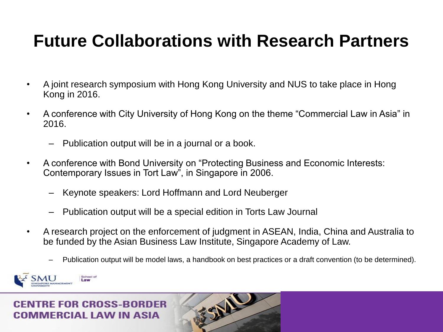## **Future Collaborations with Research Partners**

- A joint research symposium with Hong Kong University and NUS to take place in Hong Kong in 2016.
- A conference with City University of Hong Kong on the theme "Commercial Law in Asia" in 2016.
	- Publication output will be in a journal or a book.
- A conference with Bond University on "Protecting Business and Economic Interests: Contemporary Issues in Tort Law", in Singapore in 2006.
	- Keynote speakers: Lord Hoffmann and Lord Neuberger
	- Publication output will be a special edition in Torts Law Journal
- A research project on the enforcement of judgment in ASEAN, India, China and Australia to be funded by the Asian Business Law Institute, Singapore Academy of Law.
	- Publication output will be model laws, a handbook on best practices or a draft convention (to be determined).

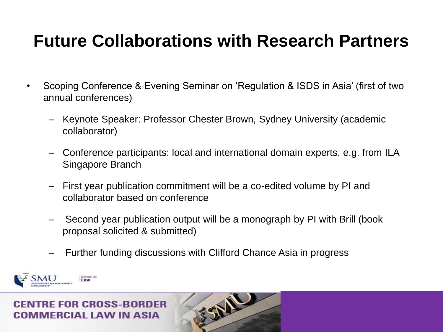## **Future Collaborations with Research Partners**

- Scoping Conference & Evening Seminar on 'Regulation & ISDS in Asia' (first of two annual conferences)
	- Keynote Speaker: Professor Chester Brown, Sydney University (academic collaborator)
	- Conference participants: local and international domain experts, e.g. from ILA Singapore Branch
	- First year publication commitment will be a co-edited volume by PI and collaborator based on conference
	- Second year publication output will be a monograph by PI with Brill (book proposal solicited & submitted)
	- Further funding discussions with Clifford Chance Asia in progress

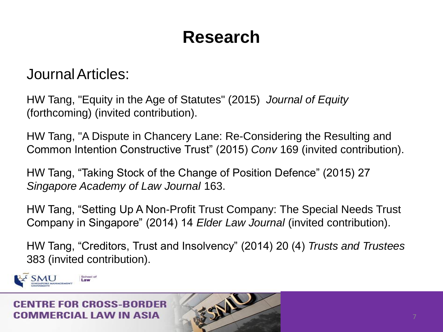JournalArticles:

HW Tang, "Equity in the Age of Statutes" (2015) *Journal of Equity*  (forthcoming) (invited contribution).

HW Tang, "A Dispute in Chancery Lane: Re-Considering the Resulting and Common Intention Constructive Trust" (2015) *Conv* 169 (invited contribution).

HW Tang, "Taking Stock of the Change of Position Defence" (2015) 27 *Singapore Academy of Law Journal* 163.

HW Tang, "Setting Up A Non-Profit Trust Company: The Special Needs Trust Company in Singapore" (2014) 14 *Elder Law Journal* (invited contribution).

HW Tang, "Creditors, Trust and Insolvency" (2014) 20 (4) *Trusts and Trustees*  383 (invited contribution).

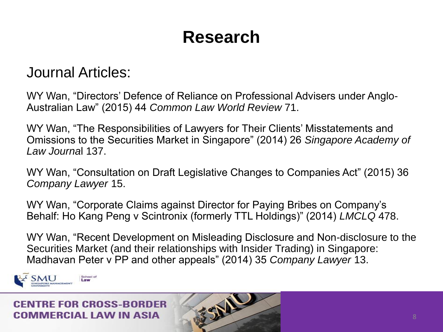### Journal Articles:

WY Wan, "Directors' Defence of Reliance on Professional Advisers under Anglo-Australian Law" (2015) 44 *Common Law World Review* 71.

WY Wan, "The Responsibilities of Lawyers for Their Clients' Misstatements and Omissions to the Securities Market in Singapore" (2014) 26 *Singapore Academy of Law Journa*l 137.

WY Wan, "Consultation on Draft Legislative Changes to Companies Act" (2015) 36 *Company Lawyer* 15.

WY Wan, "Corporate Claims against Director for Paying Bribes on Company's Behalf: Ho Kang Peng v Scintronix (formerly TTL Holdings)" (2014) *LMCLQ* 478.

WY Wan, "Recent Development on Misleading Disclosure and Non-disclosure to the Securities Market (and their relationships with Insider Trading) in Singapore: Madhavan Peter v PP and other appeals" (2014) 35 *Company Lawyer* 13.

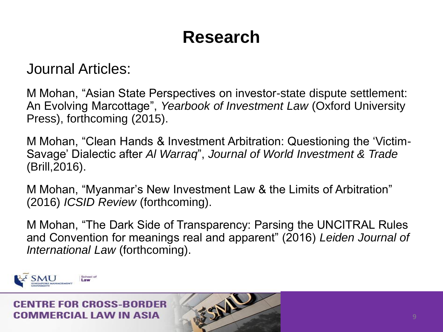### Journal Articles:

M Mohan, "Asian State Perspectives on investor-state dispute settlement: An Evolving Marcottage", *Yearbook of Investment Law* (Oxford University Press), forthcoming (2015).

M Mohan, "Clean Hands & Investment Arbitration: Questioning the 'Victim-Savage' Dialectic after *Al Warraq*", *Journal of World Investment & Trade*  (Brill,2016).

M Mohan, "Myanmar's New Investment Law & the Limits of Arbitration" (2016) *ICSID Review* (forthcoming).

M Mohan, "The Dark Side of Transparency: Parsing the UNCITRAL Rules and Convention for meanings real and apparent" (2016) *Leiden Journal of International Law* (forthcoming).

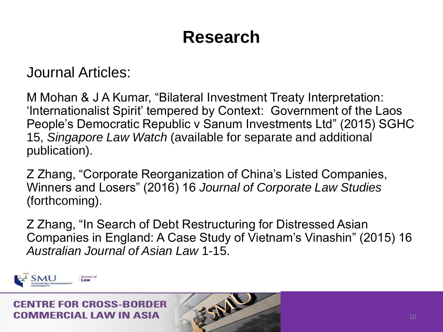Journal Articles:

M Mohan & J A Kumar, "Bilateral Investment Treaty Interpretation: 'Internationalist Spirit' tempered by Context: Government of the Laos People's Democratic Republic v Sanum Investments Ltd" (2015) SGHC 15, *Singapore Law Watch* (available for separate and additional publication).

Z Zhang, "Corporate Reorganization of China's Listed Companies, Winners and Losers" (2016) 16 *Journal of Corporate Law Studies*  (forthcoming).

Z Zhang, "In Search of Debt Restructuring for Distressed Asian Companies in England: A Case Study of Vietnam's Vinashin" (2015) 16 *Australian Journal of Asian Law* 1-15.

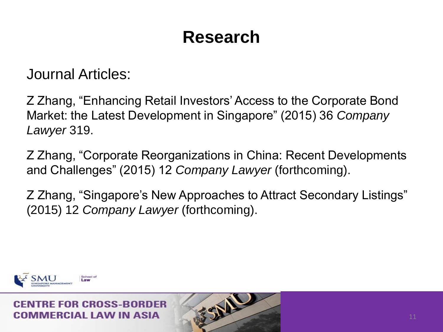Journal Articles:

Z Zhang, "Enhancing Retail Investors' Access to the Corporate Bond Market: the Latest Development in Singapore" (2015) 36 *Company Lawyer* 319.

Z Zhang, "Corporate Reorganizations in China: Recent Developments and Challenges" (2015) 12 *Company Lawyer* (forthcoming).

Z Zhang, "Singapore's New Approaches to Attract Secondary Listings" (2015) 12 *Company Lawyer* (forthcoming).

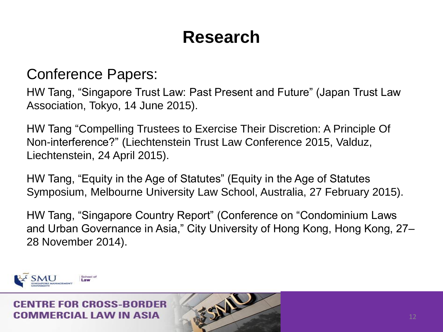### Conference Papers:

HW Tang, "Singapore Trust Law: Past Present and Future" (Japan Trust Law Association, Tokyo, 14 June 2015).

HW Tang "Compelling Trustees to Exercise Their Discretion: A Principle Of Non-interference?" (Liechtenstein Trust Law Conference 2015, Valduz, Liechtenstein, 24 April 2015).

HW Tang, "Equity in the Age of Statutes" (Equity in the Age of Statutes Symposium, Melbourne University Law School, Australia, 27 February 2015).

HW Tang, "Singapore Country Report" (Conference on "Condominium Laws and Urban Governance in Asia," City University of Hong Kong, Hong Kong, 27– 28 November 2014).

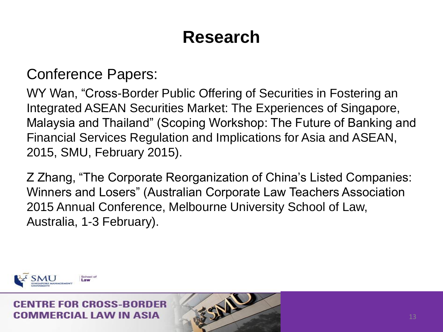### Conference Papers:

WY Wan, "Cross-Border Public Offering of Securities in Fostering an Integrated ASEAN Securities Market: The Experiences of Singapore, Malaysia and Thailand" (Scoping Workshop: The Future of Banking and Financial Services Regulation and Implications for Asia and ASEAN, 2015, SMU, February 2015).

Z Zhang, "The Corporate Reorganization of China's Listed Companies: Winners and Losers" (Australian Corporate Law Teachers Association 2015 Annual Conference, Melbourne University School of Law, Australia, 1-3 February).

SIL

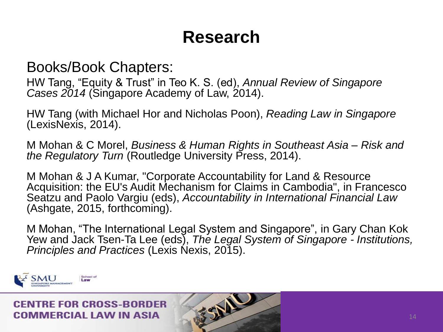Books/Book Chapters:

HW Tang, "Equity & Trust" in Teo K. S. (ed), *Annual Review of Singapore*  Cases 2014 (Singapore Academy of Law, 2014).

HW Tang (with Michael Hor and Nicholas Poon), *Reading Law in Singapore*  (LexisNexis, 2014).

M Mohan & C Morel, *Business & Human Rights in Southeast Asia – Risk and the Regulatory Turn* (Routledge University Press, 2014).

M Mohan & J A Kumar, "Corporate Accountability for Land & Resource Acquisition: the EU's Audit Mechanism for Claims in Cambodia", in Francesco Seatzu and Paolo Vargiu (eds), *Accountability in International Financial Law* (Ashgate, 2015, forthcoming).

M Mohan, "The International Legal System and Singapore", in Gary Chan Kok Yew and Jack Tsen-Ta Lee (eds), *The Legal System of Singapore - Institutions, Principles and Practices* (Lexis Nexis, 2015).

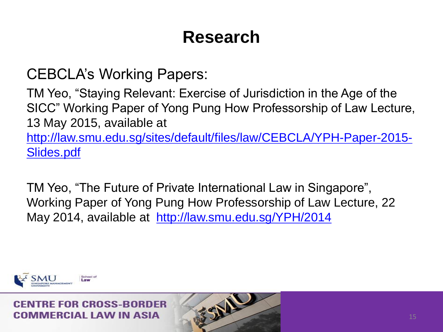CEBCLA's Working Papers:

TM Yeo, "Staying Relevant: Exercise of Jurisdiction in the Age of the SICC" Working Paper of Yong Pung How Professorship of Law Lecture, 13 May 2015, available at [http://law.smu.edu.sg/sites/default/files/law/CEBCLA/YPH-Paper-2015-](http://law.smu.edu.sg/sites/default/files/law/CEBCLA/YPH-Paper-2015-Slides.pdf)

[Slides.pdf](http://law.smu.edu.sg/sites/default/files/law/CEBCLA/YPH-Paper-2015-Slides.pdf)

TM Yeo, "The Future of Private International Law in Singapore", Working Paper of Yong Pung How Professorship of Law Lecture, 22 May 2014, available at <http://law.smu.edu.sg/YPH/2014>

经业

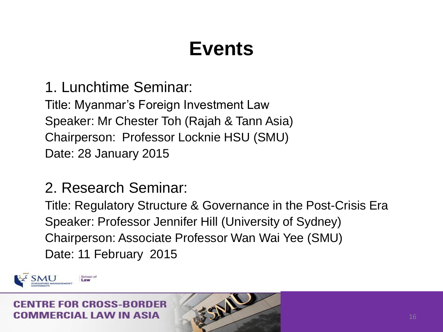1. Lunchtime Seminar:

Title: Myanmar's Foreign Investment Law Speaker: Mr Chester Toh (Rajah & Tann Asia) Chairperson: Professor Locknie HSU (SMU) Date: 28 January 2015

## 2. Research Seminar:

Title: Regulatory Structure & Governance in the Post-Crisis Era Speaker: Professor Jennifer Hill (University of Sydney) Chairperson: Associate Professor Wan Wai Yee (SMU) Date: 11 February 2015

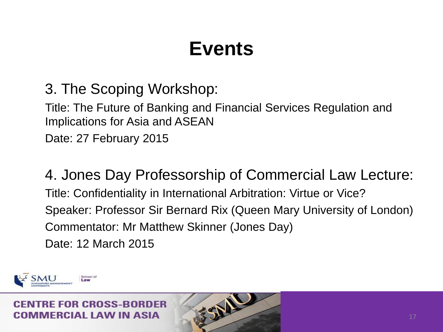3. The Scoping Workshop:

Title: The Future of Banking and Financial Services Regulation and Implications for Asia and ASEAN

Date: 27 February 2015

4. Jones Day Professorship of Commercial Law Lecture: Title: Confidentiality in International Arbitration: Virtue or Vice? Speaker: Professor Sir Bernard Rix (Queen Mary University of London) Commentator: Mr Matthew Skinner (Jones Day) Date: 12 March 2015

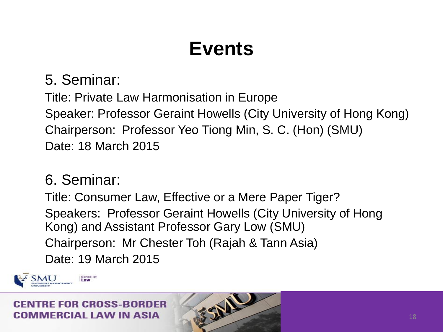5. Seminar:

Title: Private Law Harmonisation in Europe Speaker: Professor Geraint Howells (City University of Hong Kong) Chairperson: Professor Yeo Tiong Min, S. C. (Hon) (SMU) Date: 18 March 2015

### 6. Seminar:

Title: Consumer Law, Effective or a Mere Paper Tiger? Speakers: Professor Geraint Howells (City University of Hong Kong) and Assistant Professor Gary Low (SMU) Chairperson: Mr Chester Toh (Rajah & Tann Asia) Date: 19 March 2015

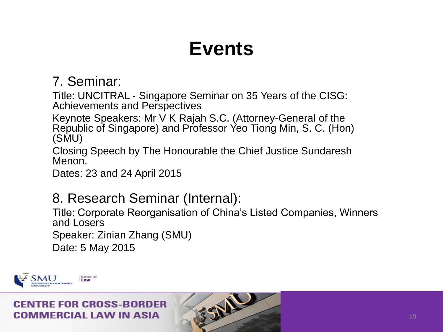### 7. Seminar:

Title: UNCITRAL ‐ Singapore Seminar on 35 Years of the CISG: Achievements and Perspectives

Keynote Speakers: Mr V K Rajah S.C. (Attorney-General of the Republic of Singapore) and Professor Yeo Tiong Min, S. C. (Hon) (SMU)

Closing Speech by The Honourable the Chief Justice Sundaresh Menon.

Dates: 23 and 24 April 2015

### 8. Research Seminar (Internal):

Title: Corporate Reorganisation of China's Listed Companies, Winners and Losers

FEAL

Speaker: Zinian Zhang (SMU)

Date: 5 May 2015

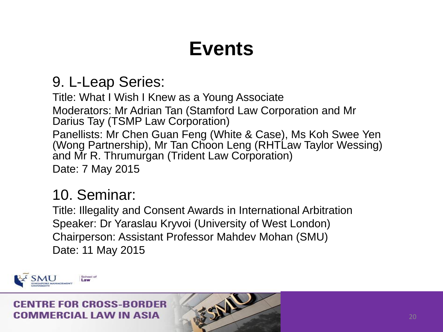## 9. L-Leap Series:

Title: What I Wish I Knew as a Young Associate Moderators: Mr Adrian Tan (Stamford Law Corporation and Mr Darius Tay (TSMP Law Corporation) Panellists: Mr Chen Guan Feng (White & Case), Ms Koh Swee Yen (Wong Partnership), Mr Tan Choon Leng (RHTLaw Taylor Wessing) and Mr R. Thrumurgan (Trident Law Corporation) Date: 7 May 2015

## 10. Seminar:

Title: Illegality and Consent Awards in International Arbitration Speaker: Dr Yaraslau Kryvoi (University of West London) Chairperson: Assistant Professor Mahdev Mohan (SMU) Date: 11 May 2015

经业

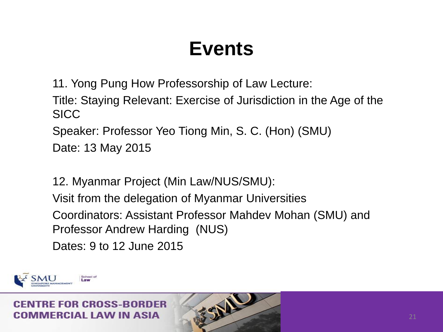11. Yong Pung How Professorship of Law Lecture:

Title: Staying Relevant: Exercise of Jurisdiction in the Age of the **SICC** 

Speaker: Professor Yeo Tiong Min, S. C. (Hon) (SMU)

Date: 13 May 2015

12. Myanmar Project (Min Law/NUS/SMU): Visit from the delegation of Myanmar Universities Coordinators: Assistant Professor Mahdev Mohan (SMU) and Professor Andrew Harding (NUS) Dates: 9 to 12 June 2015

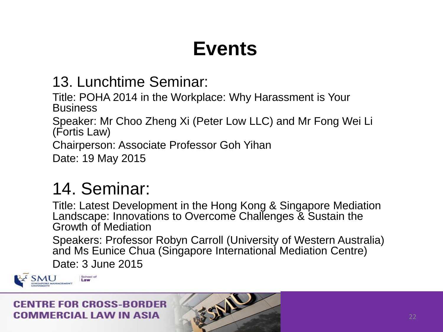## 13. Lunchtime Seminar:

Title: POHA 2014 in the Workplace: Why Harassment is Your **Business** 

Speaker: Mr Choo Zheng Xi (Peter Low LLC) and Mr Fong Wei Li (Fortis Law)

Chairperson: Associate Professor Goh Yihan

Date: 19 May 2015

## 14. Seminar:

Title: Latest Development in the Hong Kong & Singapore Mediation Landscape: Innovations to Overcome Challenges & Sustain the Growth of Mediation

Speakers: Professor Robyn Carroll (University of Western Australia) and Ms Eunice Chua (Singapore International Mediation Centre) Date: 3 June 2015

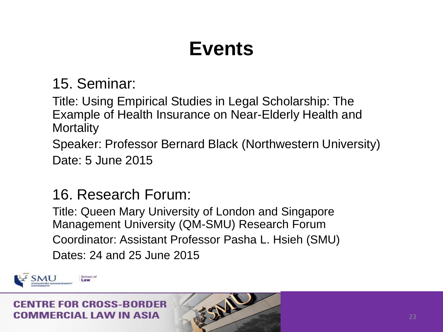15. Seminar:

Title: Using Empirical Studies in Legal Scholarship: The Example of Health Insurance on Near-Elderly Health and **Mortality** 

Speaker: Professor Bernard Black (Northwestern University) Date: 5 June 2015

## 16. Research Forum:

Title: Queen Mary University of London and Singapore Management University (QM-SMU) Research Forum Coordinator: Assistant Professor Pasha L. Hsieh (SMU) Dates: 24 and 25 June 2015

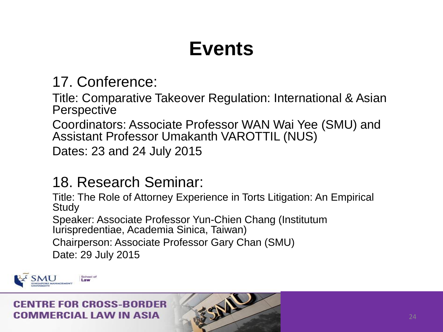### 17. Conference:

Title: Comparative Takeover Regulation: International & Asian **Perspective** 

Coordinators: Associate Professor WAN Wai Yee (SMU) and Assistant Professor Umakanth VAROTTIL (NUS)

Dates: 23 and 24 July 2015

### 18. Research Seminar:

Title: The Role of Attorney Experience in Torts Litigation: An Empirical **Study** 

FSNA

Speaker: Associate Professor Yun-Chien Chang (Institutum Iurispredentiae, Academia Sinica, Taiwan)

Chairperson: Associate Professor Gary Chan (SMU)

Date: 29 July 2015

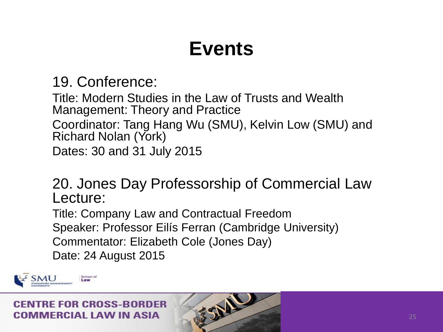### 19. Conference:

Title: Modern Studies in the Law of Trusts and Wealth Management: Theory and Practice Coordinator: Tang Hang Wu (SMU), Kelvin Low (SMU) and Richard Nolan (York) Dates: 30 and 31 July 2015

### 20. Jones Day Professorship of Commercial Law Lecture:

Title: Company Law and Contractual Freedom Speaker: Professor Eilís Ferran (Cambridge University) Commentator: Elizabeth Cole (Jones Day) Date: 24 August 2015

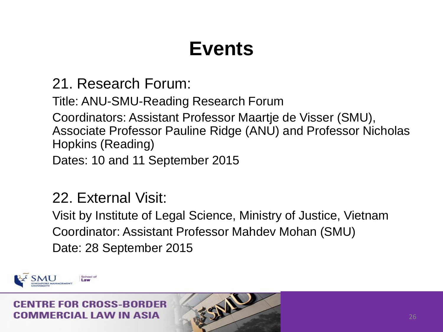21. Research Forum:

Title: ANU-SMU-Reading Research Forum Coordinators: Assistant Professor Maartje de Visser (SMU), Associate Professor Pauline Ridge (ANU) and Professor Nicholas Hopkins (Reading)

Dates: 10 and 11 September 2015

## 22. External Visit:

Visit by Institute of Legal Science, Ministry of Justice, Vietnam Coordinator: Assistant Professor Mahdev Mohan (SMU) Date: 28 September 2015

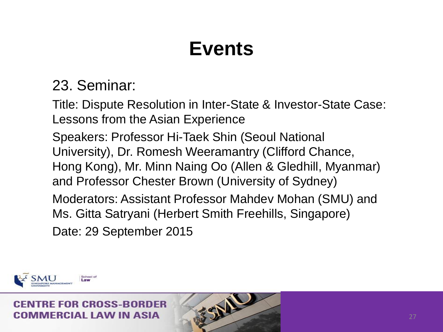## 23. Seminar:

Title: Dispute Resolution in Inter-State & Investor-State Case: Lessons from the Asian Experience

Speakers: Professor Hi-Taek Shin (Seoul National University), Dr. Romesh Weeramantry (Clifford Chance, Hong Kong), Mr. Minn Naing Oo (Allen & Gledhill, Myanmar) and Professor Chester Brown (University of Sydney)

Moderators: Assistant Professor Mahdev Mohan (SMU) and Ms. Gitta Satryani (Herbert Smith Freehills, Singapore)

经业

Date: 29 September 2015

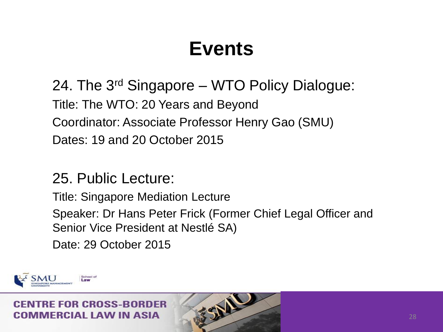24. The 3rd Singapore – WTO Policy Dialogue: Title: The WTO: 20 Years and Beyond Coordinator: Associate Professor Henry Gao (SMU) Dates: 19 and 20 October 2015

### 25. Public Lecture:

Title: Singapore Mediation Lecture Speaker: Dr Hans Peter Frick (Former Chief Legal Officer and Senior Vice President at Nestlé SA) Date: 29 October 2015

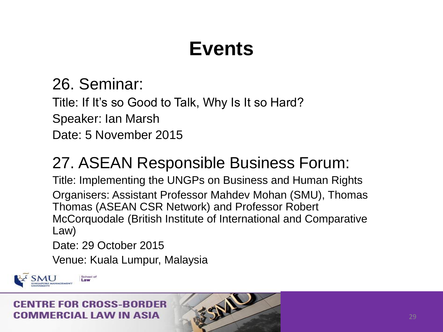## 26. Seminar:

Title: If It's so Good to Talk, Why Is It so Hard?

Speaker: Ian Marsh

Date: 5 November 2015

## 27. ASEAN Responsible Business Forum:

Title: Implementing the UNGPs on Business and Human Rights Organisers: Assistant Professor Mahdev Mohan (SMU), Thomas Thomas (ASEAN CSR Network) and Professor Robert McCorquodale (British Institute of International and Comparative Law)

经业

Date: 29 October 2015

Venue: Kuala Lumpur, Malaysia